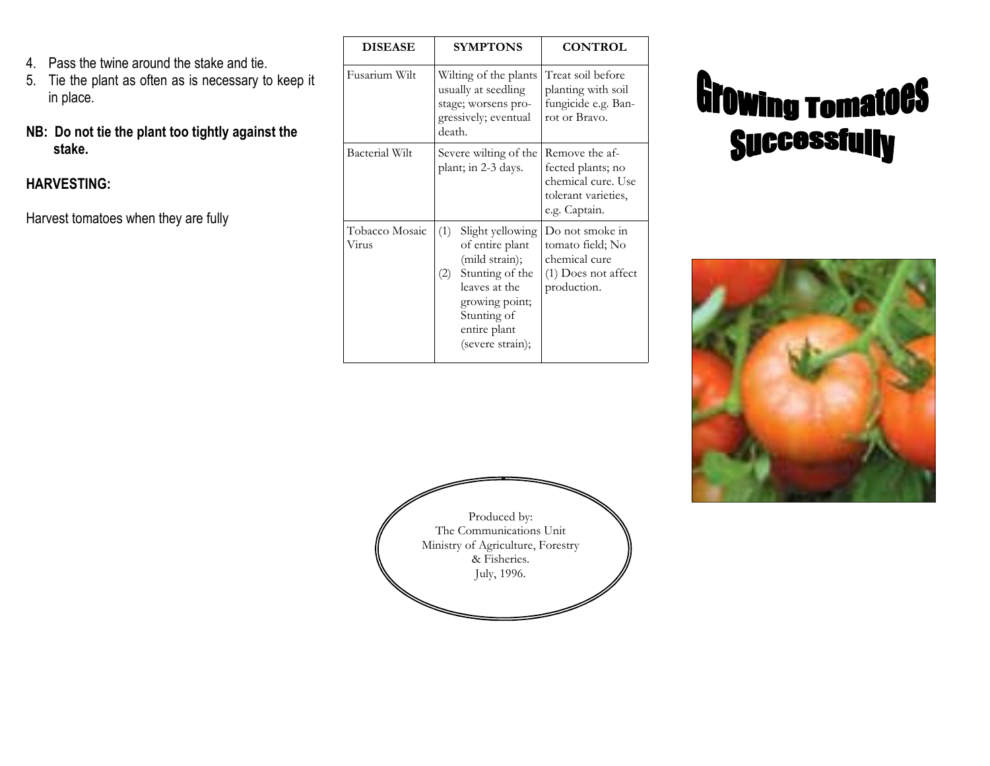- 4. Pass the twine around the stake and tie.
- 5. Tie the plant as often as is necessary to keep it in place.
- NB: Do not tie the plant too tightly against the stake.

#### HARVESTING:

Harvest tomatoes when they are fully

| <b>DISEASE</b>          | <b>SYMPTONS</b>                                                                                                                                                              | <b>CONTROL</b>                                                                                    |
|-------------------------|------------------------------------------------------------------------------------------------------------------------------------------------------------------------------|---------------------------------------------------------------------------------------------------|
| Fusarium Wilt           | Wilting of the plants<br>usually at seedling<br>stage; worsens pro-<br>gressively; eventual<br>death.                                                                        | Treat soil before<br>planting with soil<br>fungicide e.g. Ban-<br>rot or Bravo.                   |
| <b>Bacterial Wilt</b>   | Severe wilting of the<br>plant; in 2-3 days.                                                                                                                                 | Remove the af-<br>fected plants; no<br>chemical cure. Use<br>tolerant varieties,<br>e.g. Captain. |
| Tobacco Mosaic<br>Virus | (1)<br>Slight yellowing<br>of entire plant<br>(mild strain);<br>Stunting of the<br>(2)<br>leaves at the<br>growing point;<br>Stunting of<br>entire plant<br>(severe strain); | Do not smoke in<br>tomato field; No<br>chemical cure<br>(1) Does not affect<br>production.        |

# **Growing romatoes Successfully**